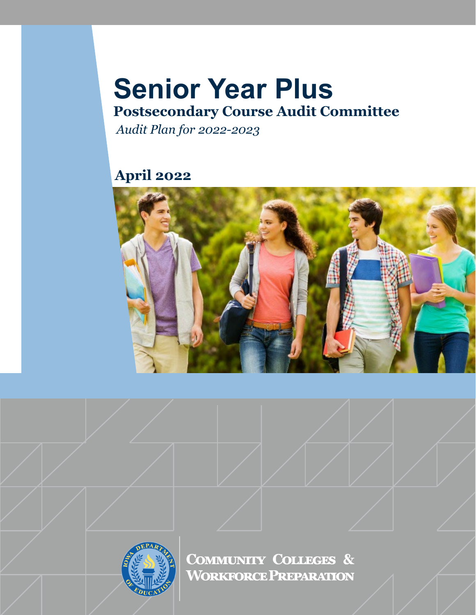# **Senior Year Plus Postsecondary Course Audit Committee**

*Audit Plan for 2022-2023* 

## **April 2022**





**COMMUNITY COLLEGES & WORKFORCE PREPARATION**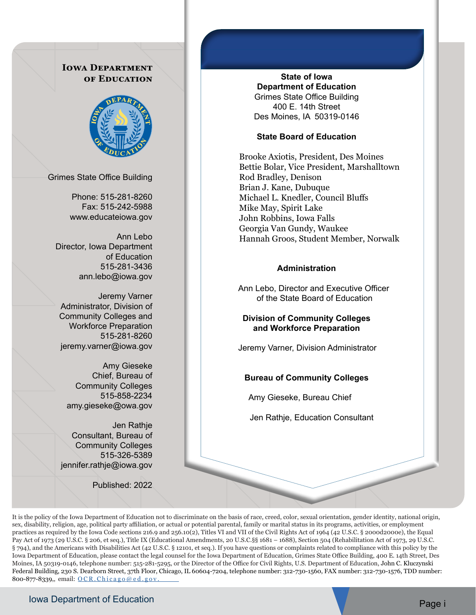#### **Iowa Department of Education**



Grimes State Office Building

Phone: 515-281-8260 Fax: 515-242-5988 www.educateiowa.gov

Ann Lebo Director, Iowa Department of Education 515-281-3436 ann.lebo@iowa.gov

Jeremy Varner Administrator, Division of Community Colleges and Workforce Preparation 515-281-8260 jeremy.varner@iowa.gov

Amy Gieseke Chief, Bureau of Community Colleges 515-858-2234 amy.gieseke@owa.gov

Jen Rathje Consultant, Bureau of Community Colleges 515-326-5389 jennifer.rathje@iowa.gov

Published: 2022

#### **State of Iowa Department of Education**  Grimes State Office Building 400 E. 14th Street Des Moines, IA 50319-0146

#### **State Board of Education**

Brooke Axiotis, President, Des Moines Bettie Bolar, Vice President, Marshalltown Rod Bradley, Denison Brian J. Kane, Dubuque Michael L. Knedler, Council Bluffs Mike May, Spirit Lake John Robbins, Iowa Falls Georgia Van Gundy, Waukee Hannah Groos, Student Member, Norwalk

#### **Administration**

Ann Lebo, Director and Executive Officer of the State Board of Education

#### **Division of Community Colleges and Workforce Preparation**

Jeremy Varner, Division Administrator

#### **Bureau of Community Colleges**

Amy Gieseke, Bureau Chief

Jen Rathje, Education Consultant

It is the policy of the Iowa Department of Education not to discriminate on the basis of race, creed, color, sexual orientation, gender identity, national origin, sex, disability, religion, age, political party affiliation, or actual or potential parental, family or marital status in its programs, activities, or employment practices as required by the Iowa Code sections 216.9 and 256.10(2), Titles VI and VII of the Civil Rights Act of 1964 (42 U.S.C. § 2000d2000e), the Equal Pay Act of 1973 (29 U.S.C. § 206, et seq.), Title IX (Educational Amendments, 20 U.S.C.§§ 1681 – 1688), Section 504 (Rehabilitation Act of 1973, 29 U.S.C. § 794), and the Americans with Disabilities Act (42 U.S.C. § 12101, et seq.). If you have questions or complaints related to compliance with this policy by the Iowa Department of Education, please contact the legal counsel for the Iowa Department of Education, Grimes State Office Building, 400 E. 14th Street, Des Moines, IA 50319-0146, telephone number: 515-281-5295, or the Director of the Office for Civil Rights, U.S. Department of Education, John C. Kluczynski Federal Building, 230 S. Dearborn Street, 37th Floor, Chicago, IL 60604-7204, telephone number: 312-730-1560, FAX number: 312-730-1576, TDD number: 800-877-8339,, email: OCR.Chicago@ed.gov.

 $\overline{\phantom{a}}$ 

### Iowa Department of Education **in the contract of Education** in the contract of the contract of the contract of the contract of the contract of the contract of the contract of the contract of the contract of the contract of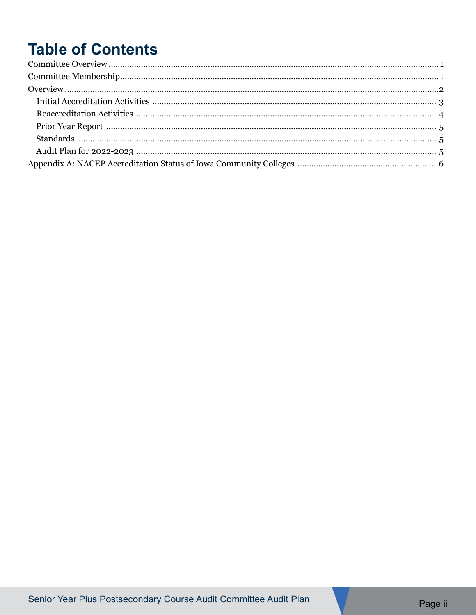## **Table of Contents**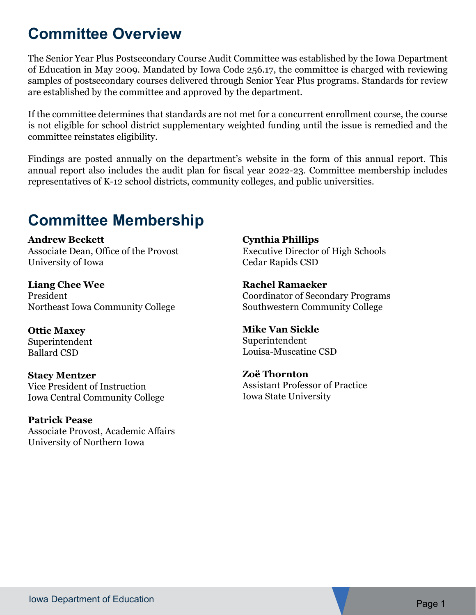## <span id="page-3-0"></span>**Committee Overview**

The Senior Year Plus Postsecondary Course Audit Committee was established by the Iowa Department of Education in May 2009. Mandated by Iowa Code 256.17, the committee is charged with reviewing samples of postsecondary courses delivered through Senior Year Plus programs. Standards for review are established by the committee and approved by the department.

If the committee determines that standards are not met for a concurrent enrollment course, the course is not eligible for school district supplementary weighted funding until the issue is remedied and the committee reinstates eligibility.

Findings are posted annually on the department's website in the form of this annual report. This annual report also includes the audit plan for fiscal year 2022-23. Committee membership includes representatives of K-12 school districts, community colleges, and public universities.

## **Committee Membership**

Andrew Beckett **Cynthia Phillips** Associate Dean, Office of the Provost Executive Director of High Schools University of Iowa Cedar Rapids CSD

**Liang Chee Wee Rachel Ramaeker Rachel Ramaeker** Northeast Iowa Community College Southwestern Community College

Superintendent

**Stacy Mentzer 200 Stacy Mentzer 200 Stacy Mentzer 200 Stacy Mentzer 200 Stacy Mental Professor of Practice** Vice President of Instruction Assistant Professor of Practice Iowa Central Community College

**Patrick Pease**  Associate Provost, Academic Affairs University of Northern Iowa

President Coordinator of Secondary Programs

**Ottie Maxey Mike Van Sickle**<br> **Superintendent** Superintendent Ballard CSD Louisa-Muscatine CSD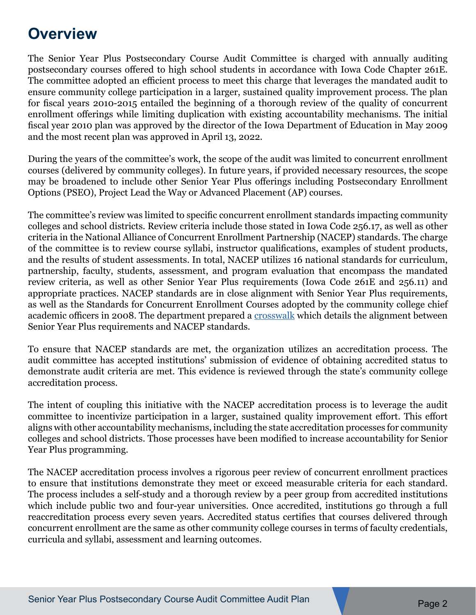## <span id="page-4-0"></span>**Overview**

The Senior Year Plus Postsecondary Course Audit Committee is charged with annually auditing postsecondary courses offered to high school students in accordance with Iowa Code Chapter 261E. The committee adopted an efficient process to meet this charge that leverages the mandated audit to ensure community college participation in a larger, sustained quality improvement process. The plan for fiscal years 2010-2015 entailed the beginning of a thorough review of the quality of concurrent enrollment offerings while limiting duplication with existing accountability mechanisms. The initial fiscal year 2010 plan was approved by the director of the Iowa Department of Education in May 2009 and the most recent plan was approved in April 13, 2022.

During the years of the committee's work, the scope of the audit was limited to concurrent enrollment courses (delivered by community colleges). In future years, if provided necessary resources, the scope may be broadened to include other Senior Year Plus offerings including Postsecondary Enrollment Options (PSEO), Project Lead the Way or Advanced Placement (AP) courses.

The committee's review was limited to specific concurrent enrollment standards impacting community colleges and school districts. Review criteria include those stated in Iowa Code 256.17, as well as other criteria in the National Alliance of Concurrent Enrollment Partnership (NACEP) standards. The charge of the committee is to review course syllabi, instructor qualifications, examples of student products, and the results of student assessments. In total, NACEP utilizes 16 national standards for curriculum, partnership, faculty, students, assessment, and program evaluation that encompass the mandated review criteria, as well as other Senior Year Plus requirements (Iowa Code 261E and 256.11) and appropriate practices. NACEP standards are in close alignment with Senior Year Plus requirements, as well as the Standards for Concurrent Enrollment Courses adopted by the community college chief academic officers in 2008. The department prepared a [crosswalk](https://educateiowa.gov/documents/senior-year-plus-syp/2021/01/nacep-senior-year-plus-crosswalk) which details the alignment between Senior Year Plus requirements and NACEP standards.

To ensure that NACEP standards are met, the organization utilizes an accreditation process. The audit committee has accepted institutions' submission of evidence of obtaining accredited status to demonstrate audit criteria are met. This evidence is reviewed through the state's community college accreditation process.

The intent of coupling this initiative with the NACEP accreditation process is to leverage the audit committee to incentivize participation in a larger, sustained quality improvement effort. This effort aligns with other accountability mechanisms, including the state accreditation processes for community colleges and school districts. Those processes have been modified to increase accountability for Senior Year Plus programming.

The NACEP accreditation process involves a rigorous peer review of concurrent enrollment practices to ensure that institutions demonstrate they meet or exceed measurable criteria for each standard. The process includes a self-study and a thorough review by a peer group from accredited institutions which include public two and four-year universities. Once accredited, institutions go through a full reaccreditation process every seven years. Accredited status certifies that courses delivered through concurrent enrollment are the same as other community college courses in terms of faculty credentials, curricula and syllabi, assessment and learning outcomes.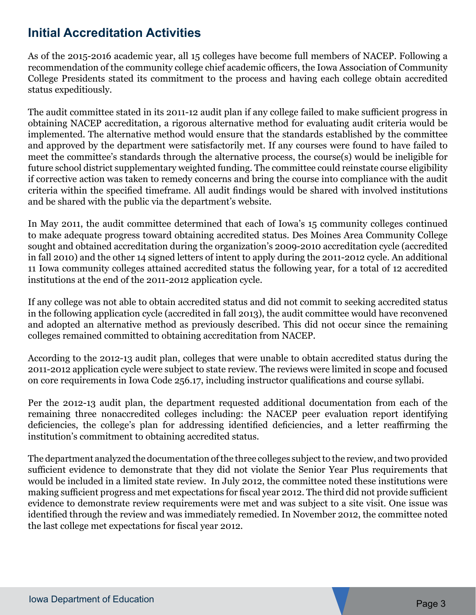### <span id="page-5-0"></span>**Initial Accreditation Activities**

As of the 2015-2016 academic year, all 15 colleges have become full members of NACEP. Following a recommendation of the community college chief academic officers, the Iowa Association of Community College Presidents stated its commitment to the process and having each college obtain accredited status expeditiously.

The audit committee stated in its 2011-12 audit plan if any college failed to make sufficient progress in obtaining NACEP accreditation, a rigorous alternative method for evaluating audit criteria would be implemented. The alternative method would ensure that the standards established by the committee and approved by the department were satisfactorily met. If any courses were found to have failed to meet the committee's standards through the alternative process, the course(s) would be ineligible for future school district supplementary weighted funding. The committee could reinstate course eligibility if corrective action was taken to remedy concerns and bring the course into compliance with the audit criteria within the specified timeframe. All audit findings would be shared with involved institutions and be shared with the public via the department's website.

In May 2011, the audit committee determined that each of Iowa's 15 community colleges continued to make adequate progress toward obtaining accredited status. Des Moines Area Community College sought and obtained accreditation during the organization's 2009-2010 accreditation cycle (accredited in fall 2010) and the other 14 signed letters of intent to apply during the 2011-2012 cycle. An additional 11 Iowa community colleges attained accredited status the following year, for a total of 12 accredited institutions at the end of the 2011-2012 application cycle.

If any college was not able to obtain accredited status and did not commit to seeking accredited status in the following application cycle (accredited in fall 2013), the audit committee would have reconvened and adopted an alternative method as previously described. This did not occur since the remaining colleges remained committed to obtaining accreditation from NACEP.

According to the 2012-13 audit plan, colleges that were unable to obtain accredited status during the 2011-2012 application cycle were subject to state review. The reviews were limited in scope and focused on core requirements in Iowa Code 256.17, including instructor qualifications and course syllabi.

Per the 2012-13 audit plan, the department requested additional documentation from each of the remaining three nonaccredited colleges including: the NACEP peer evaluation report identifying deficiencies, the college's plan for addressing identified deficiencies, and a letter reaffirming the institution's commitment to obtaining accredited status.

The department analyzed the documentation of the three colleges subject to the review, and two provided sufficient evidence to demonstrate that they did not violate the Senior Year Plus requirements that would be included in a limited state review. In July 2012, the committee noted these institutions were making sufficient progress and met expectations for fiscal year 2012. The third did not provide sufficient evidence to demonstrate review requirements were met and was subject to a site visit. One issue was identified through the review and was immediately remedied. In November 2012, the committee noted the last college met expectations for fiscal year 2012.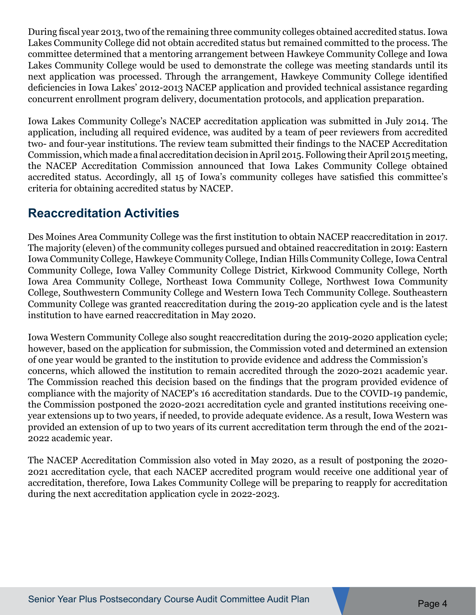<span id="page-6-0"></span>During fiscal year 2013, two of the remaining three community colleges obtained accredited status. Iowa Lakes Community College did not obtain accredited status but remained committed to the process. The committee determined that a mentoring arrangement between Hawkeye Community College and Iowa Lakes Community College would be used to demonstrate the college was meeting standards until its next application was processed. Through the arrangement, Hawkeye Community College identified deficiencies in Iowa Lakes' 2012-2013 NACEP application and provided technical assistance regarding concurrent enrollment program delivery, documentation protocols, and application preparation.

Iowa Lakes Community College's NACEP accreditation application was submitted in July 2014. The application, including all required evidence, was audited by a team of peer reviewers from accredited two- and four-year institutions. The review team submitted their findings to the NACEP Accreditation Commission, which made a final accreditation decision in April 2015. Following their April 2015 meeting, the NACEP Accreditation Commission announced that Iowa Lakes Community College obtained accredited status. Accordingly, all 15 of Iowa's community colleges have satisfied this committee's criteria for obtaining accredited status by NACEP.

### **Reaccreditation Activities**

Des Moines Area Community College was the first institution to obtain NACEP reaccreditation in 2017. The majority (eleven) of the community colleges pursued and obtained reaccreditation in 2019: Eastern Iowa Community College, Hawkeye Community College, Indian Hills Community College, Iowa Central Community College, Iowa Valley Community College District, Kirkwood Community College, North Iowa Area Community College, Northeast Iowa Community College, Northwest Iowa Community College, Southwestern Community College and Western Iowa Tech Community College. Southeastern Community College was granted reaccreditation during the 2019-20 application cycle and is the latest institution to have earned reaccreditation in May 2020.

Iowa Western Community College also sought reaccreditation during the 2019-2020 application cycle; however, based on the application for submission, the Commission voted and determined an extension of one year would be granted to the institution to provide evidence and address the Commission's concerns, which allowed the institution to remain accredited through the 2020-2021 academic year. The Commission reached this decision based on the findings that the program provided evidence of compliance with the majority of NACEP's 16 accreditation standards. Due to the COVID-19 pandemic, the Commission postponed the 2020-2021 accreditation cycle and granted institutions receiving oneyear extensions up to two years, if needed, to provide adequate evidence. As a result, Iowa Western was provided an extension of up to two years of its current accreditation term through the end of the 2021- 2022 academic year.

The NACEP Accreditation Commission also voted in May 2020, as a result of postponing the 2020- 2021 accreditation cycle, that each NACEP accredited program would receive one additional year of accreditation, therefore, Iowa Lakes Community College will be preparing to reapply for accreditation during the next accreditation application cycle in 2022-2023.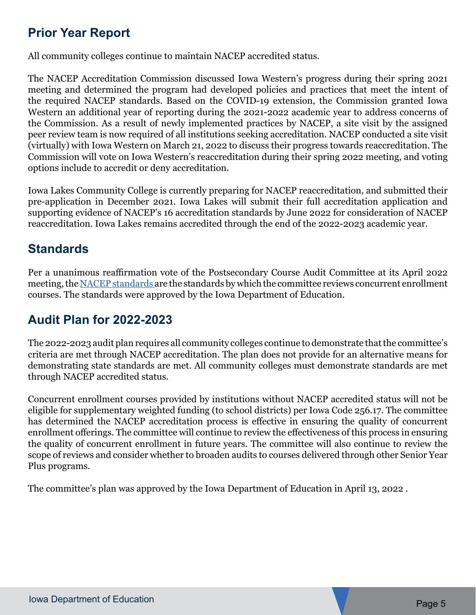## <span id="page-7-0"></span>**Prior Year Report**

All community colleges continue to maintain NACEP accredited status.

The NACEP Accreditation Commission discussed Iowa Western's progress during their spring 2021 meeting and determined the program had developed policies and practices that meet the intent of the required NACEP standards. Based on the COVID-19 extension, the Commission granted Iowa Western an additional year of reporting during the 2021-2022 academic year to address concerns of the Commission. As a result of newly implemented practices by NACEP, a site visit by the assigned peer review team is now required of all institutions seeking accreditation. NACEP conducted a site visit (virtually) with Iowa Western on March 21, 2022 to discuss their progress towards reaccreditation. The Commission will vote on Iowa Western's reaccreditation during their spring 2022 meeting, and voting options include to accredit or deny accreditation.

Iowa Lakes Community College is currently preparing for NACEP reaccreditation, and submitted their pre-application in December 2021. Iowa Lakes will submit their full accreditation application and supporting evidence of NACEP's 16 accreditation standards by June 2022 for consideration of NACEP reaccreditation. Iowa Lakes remains accredited through the end of the 2022-2023 academic year.

### **Standards**

Per a unanimous reaffirmation vote of the Postsecondary Course Audit Committee at its April 2022 meeting, the [NACEP standards](http://www.nacep.org/docs/accreditation/NACEP_Standards_2017_and_Required_Evidence%202019%20updated%2003.2020.pdf) are the standards by which the committee reviews concurrent enrollment courses. The standards were approved by the Iowa Department of Education.

### **Audit Plan for 2022-2023**

The 2022-2023 audit plan requires all community colleges continue to demonstrate that the committee's criteria are met through NACEP accreditation. The plan does not provide for an alternative means for demonstrating state standards are met. All community colleges must demonstrate standards are met through NACEP accredited status.

Concurrent enrollment courses provided by institutions without NACEP accredited status will not be eligible for supplementary weighted funding (to school districts) per Iowa Code 256.17. The committee has determined the NACEP accreditation process is effective in ensuring the quality of concurrent enrollment offerings. The committee will continue to review the effectiveness of this process in ensuring the quality of concurrent enrollment in future years. The committee will also continue to review the scope of reviews and consider whether to broaden audits to courses delivered through other Senior Year Plus programs.

The committee's plan was approved by the Iowa Department of Education in April 13, 2022 .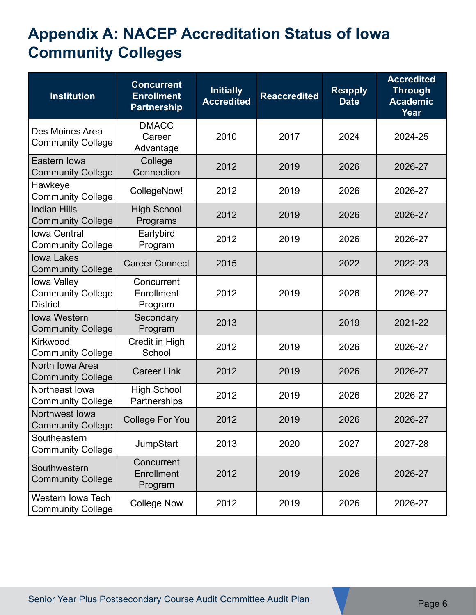## <span id="page-8-0"></span>**Appendix A: NACEP Accreditation Status of Iowa Community Colleges**

| <b>Institution</b>                                                | <b>Concurrent</b><br><b>Enrollment</b><br><b>Partnership</b> | <b>Initially</b><br><b>Accredited</b> | <b>Reaccredited</b> | <b>Reapply</b><br><b>Date</b> | <b>Accredited</b><br><b>Through</b><br><b>Academic</b><br>Year |
|-------------------------------------------------------------------|--------------------------------------------------------------|---------------------------------------|---------------------|-------------------------------|----------------------------------------------------------------|
| Des Moines Area<br><b>Community College</b>                       | <b>DMACC</b><br>Career<br>Advantage                          | 2010                                  | 2017                | 2024                          | 2024-25                                                        |
| Eastern Iowa<br><b>Community College</b>                          | College<br>Connection                                        | 2012                                  | 2019                | 2026                          | 2026-27                                                        |
| Hawkeye<br><b>Community College</b>                               | CollegeNow!                                                  | 2012                                  | 2019                | 2026                          | 2026-27                                                        |
| <b>Indian Hills</b><br><b>Community College</b>                   | <b>High School</b><br>Programs                               | 2012                                  | 2019                | 2026                          | 2026-27                                                        |
| <b>Iowa Central</b><br><b>Community College</b>                   | Earlybird<br>Program                                         | 2012                                  | 2019                | 2026                          | 2026-27                                                        |
| <b>lowa Lakes</b><br><b>Community College</b>                     | <b>Career Connect</b>                                        | 2015                                  |                     | 2022                          | 2022-23                                                        |
| <b>lowa Valley</b><br><b>Community College</b><br><b>District</b> | Concurrent<br>Enrollment<br>Program                          | 2012                                  | 2019                | 2026                          | 2026-27                                                        |
| <b>Iowa Western</b><br><b>Community College</b>                   | Secondary<br>Program                                         | 2013                                  |                     | 2019                          | 2021-22                                                        |
| Kirkwood<br><b>Community College</b>                              | Credit in High<br>School                                     | 2012                                  | 2019                | 2026                          | 2026-27                                                        |
| North Iowa Area<br><b>Community College</b>                       | <b>Career Link</b>                                           | 2012                                  | 2019                | 2026                          | 2026-27                                                        |
| Northeast lowa<br><b>Community College</b>                        | <b>High School</b><br>Partnerships                           | 2012                                  | 2019                | 2026                          | 2026-27                                                        |
| Northwest Iowa<br><b>Community College</b>                        | <b>College For You</b>                                       | 2012                                  | 2019                | 2026                          | 2026-27                                                        |
| Southeastern<br><b>Community College</b>                          | <b>JumpStart</b>                                             | 2013                                  | 2020                | 2027                          | 2027-28                                                        |
| Southwestern<br><b>Community College</b>                          | Concurrent<br>Enrollment<br>Program                          | 2012                                  | 2019                | 2026                          | 2026-27                                                        |
| Western Iowa Tech<br><b>Community College</b>                     | <b>College Now</b>                                           | 2012                                  | 2019                | 2026                          | 2026-27                                                        |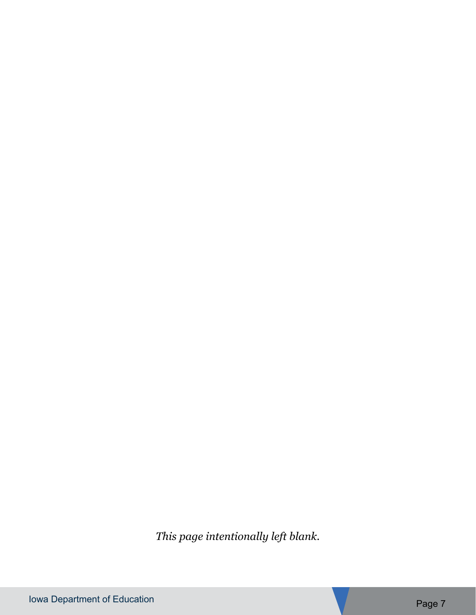*This page intentionally left blank.*